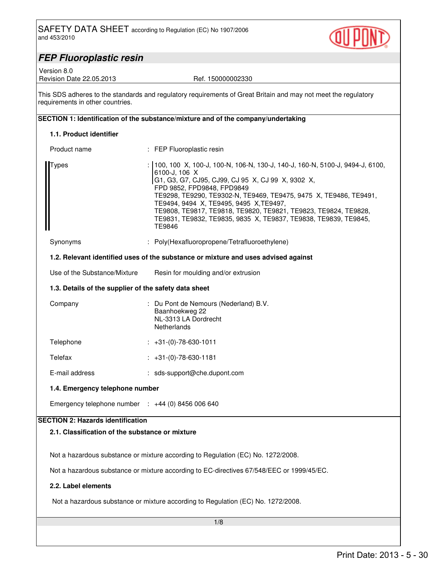

# *FEP Fluoroplastic resin*

Version 8.0

### Revision Date 22.05.2013 Ref. 150000002330

This SDS adheres to the standards and regulatory requirements of Great Britain and may not meet the regulatory requirements in other countries.

# **SECTION 1: Identification of the substance/mixture and of the company/undertaking**

# **1.1. Product identifier**

| Product name                                                 | : FEP Fluoroplastic resin                                                                                                                                                                                                                                                                                                                                                                                                                                |
|--------------------------------------------------------------|----------------------------------------------------------------------------------------------------------------------------------------------------------------------------------------------------------------------------------------------------------------------------------------------------------------------------------------------------------------------------------------------------------------------------------------------------------|
| Types                                                        | : 100, 100 X, 100-J, 100-N, 106-N, 130-J, 140-J, 160-N, 5100-J, 9494-J, 6100,<br>6100-J, 106 X<br>G1, G3, G7, CJ95, CJ99, CJ 95 X, CJ 99 X, 9302 X,<br>FPD 9852, FPD9848, FPD9849<br>TE9298, TE9290, TE9302-N, TE9469, TE9475, 9475 X, TE9486, TE9491,<br>TE9494, 9494 X, TE9495, 9495 X, TE9497,<br>TE9808, TE9817, TE9818, TE9820, TE9821, TE9823, TE9824, TE9828,<br>TE9831, TE9832, TE9835, 9835 X, TE9837, TE9838, TE9839, TE9845,<br><b>TE9846</b> |
| Synonyms                                                     | : Poly(Hexafluoropropene/Tetrafluoroethylene)                                                                                                                                                                                                                                                                                                                                                                                                            |
|                                                              | 1.2. Relevant identified uses of the substance or mixture and uses advised against                                                                                                                                                                                                                                                                                                                                                                       |
| Use of the Substance/Mixture                                 | Resin for moulding and/or extrusion                                                                                                                                                                                                                                                                                                                                                                                                                      |
| 1.3. Details of the supplier of the safety data sheet        |                                                                                                                                                                                                                                                                                                                                                                                                                                                          |
| Company                                                      | : Du Pont de Nemours (Nederland) B.V.<br>Baanhoekweg 22<br>NL-3313 LA Dordrecht<br><b>Netherlands</b>                                                                                                                                                                                                                                                                                                                                                    |
| Telephone                                                    | $: +31-(0)-78-630-1011$                                                                                                                                                                                                                                                                                                                                                                                                                                  |
| Telefax                                                      | $: +31(0) -78-630-1181$                                                                                                                                                                                                                                                                                                                                                                                                                                  |
| E-mail address                                               | : sds-support@che.dupont.com                                                                                                                                                                                                                                                                                                                                                                                                                             |
| 1.4. Emergency telephone number                              |                                                                                                                                                                                                                                                                                                                                                                                                                                                          |
| Emergency telephone number $\therefore$ +44 (0) 8456 006 640 |                                                                                                                                                                                                                                                                                                                                                                                                                                                          |
| <b>SECTION 2: Hazards identification</b>                     |                                                                                                                                                                                                                                                                                                                                                                                                                                                          |
| 2.1. Classification of the substance or mixture              |                                                                                                                                                                                                                                                                                                                                                                                                                                                          |
|                                                              | Not a hazardous substance or mixture according to Regulation (EC) No. 1272/2008.<br>Not a hazardous substance or mixture according to EC-directives 67/548/EEC or 1999/45/EC.                                                                                                                                                                                                                                                                            |
| 2.2. Label elements                                          |                                                                                                                                                                                                                                                                                                                                                                                                                                                          |
|                                                              |                                                                                                                                                                                                                                                                                                                                                                                                                                                          |
|                                                              | Not a hazardous substance or mixture according to Regulation (EC) No. 1272/2008.                                                                                                                                                                                                                                                                                                                                                                         |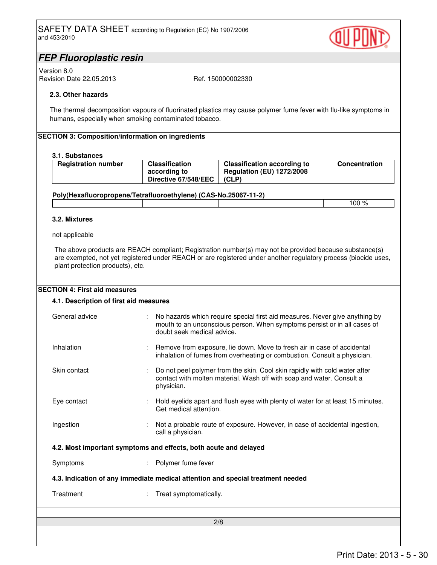

# *FEP Fluoroplastic resin*

Version 8.0 Revision Date 22.05.2013 Ref. 150000002330

## **2.3. Other hazards**

The thermal decomposition vapours of fluorinated plastics may cause polymer fume fever with flu-like symptoms in humans, especially when smoking contaminated tobacco.

## **SECTION 3: Composition/information on ingredients**

## **3.1. Substances**

| <b>Registration number</b> | <b>Classification</b><br>according to<br>Directive 67/548/EEC | <b>Classification according to</b><br><b>Regulation (EU) 1272/2008</b><br>(CLP) | <b>Concentration</b> |
|----------------------------|---------------------------------------------------------------|---------------------------------------------------------------------------------|----------------------|
|                            |                                                               |                                                                                 |                      |

## **Poly(Hexafluoropropene/Tetrafluoroethylene) (CAS-No.25067-11-2)**

 $100\%$ 

### **3.2. Mixtures**

not applicable

The above products are REACH compliant; Registration number(s) may not be provided because substance(s) are exempted, not yet registered under REACH or are registered under another regulatory process (biocide uses, plant protection products), etc.

| <b>SECTION 4: First aid measures</b><br>4.1. Description of first aid measures  |                                                                                                                                                                                       |  |
|---------------------------------------------------------------------------------|---------------------------------------------------------------------------------------------------------------------------------------------------------------------------------------|--|
| General advice                                                                  | No hazards which require special first aid measures. Never give anything by<br>mouth to an unconscious person. When symptoms persist or in all cases of<br>doubt seek medical advice. |  |
| Inhalation                                                                      | Remove from exposure, lie down. Move to fresh air in case of accidental<br>inhalation of fumes from overheating or combustion. Consult a physician.                                   |  |
| Skin contact                                                                    | Do not peel polymer from the skin. Cool skin rapidly with cold water after<br>contact with molten material. Wash off with soap and water. Consult a<br>physician.                     |  |
| Eye contact                                                                     | Hold eyelids apart and flush eyes with plenty of water for at least 15 minutes.<br>Get medical attention.                                                                             |  |
| Ingestion                                                                       | Not a probable route of exposure. However, in case of accidental ingestion,<br>call a physician.                                                                                      |  |
| 4.2. Most important symptoms and effects, both acute and delayed                |                                                                                                                                                                                       |  |
| Symptoms                                                                        | Polymer fume fever                                                                                                                                                                    |  |
| 4.3. Indication of any immediate medical attention and special treatment needed |                                                                                                                                                                                       |  |
| Treatment                                                                       | Treat symptomatically.                                                                                                                                                                |  |
|                                                                                 | 2/8                                                                                                                                                                                   |  |
|                                                                                 |                                                                                                                                                                                       |  |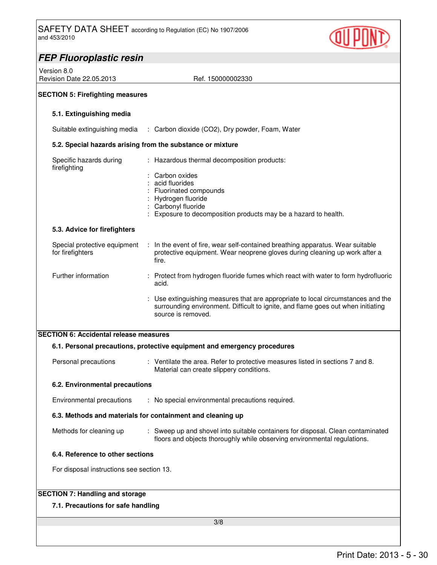

| <b>FEP Fluoroplastic resin</b>                               |                                                                                                                                                                                                                                                                                           |  |  |
|--------------------------------------------------------------|-------------------------------------------------------------------------------------------------------------------------------------------------------------------------------------------------------------------------------------------------------------------------------------------|--|--|
| Version 8.0<br>Revision Date 22.05.2013<br>Ref. 150000002330 |                                                                                                                                                                                                                                                                                           |  |  |
| <b>SECTION 5: Firefighting measures</b>                      |                                                                                                                                                                                                                                                                                           |  |  |
| 5.1. Extinguishing media                                     |                                                                                                                                                                                                                                                                                           |  |  |
|                                                              | Suitable extinguishing media : Carbon dioxide (CO2), Dry powder, Foam, Water                                                                                                                                                                                                              |  |  |
|                                                              | 5.2. Special hazards arising from the substance or mixture                                                                                                                                                                                                                                |  |  |
| Specific hazards during<br>firefighting                      | : Hazardous thermal decomposition products:<br>Carbon oxides<br>acid fluorides<br>Fluorinated compounds<br>Hydrogen fluoride<br>Carbonyl fluoride<br>Exposure to decomposition products may be a hazard to health.                                                                        |  |  |
| 5.3. Advice for firefighters                                 |                                                                                                                                                                                                                                                                                           |  |  |
| Special protective equipment<br>for firefighters             | : In the event of fire, wear self-contained breathing apparatus. Wear suitable<br>protective equipment. Wear neoprene gloves during cleaning up work after a<br>fire.                                                                                                                     |  |  |
| Further information                                          | : Protect from hydrogen fluoride fumes which react with water to form hydrofluoric<br>acid.<br>: Use extinguishing measures that are appropriate to local circumstances and the<br>surrounding environment. Difficult to ignite, and flame goes out when initiating<br>source is removed. |  |  |
| <b>SECTION 6: Accidental release measures</b>                |                                                                                                                                                                                                                                                                                           |  |  |
|                                                              | 6.1. Personal precautions, protective equipment and emergency procedures                                                                                                                                                                                                                  |  |  |
| Personal precautions                                         | : Ventilate the area. Refer to protective measures listed in sections 7 and 8.<br>Material can create slippery conditions.                                                                                                                                                                |  |  |
| 6.2. Environmental precautions                               |                                                                                                                                                                                                                                                                                           |  |  |
| Environmental precautions                                    | : No special environmental precautions required.                                                                                                                                                                                                                                          |  |  |
|                                                              | 6.3. Methods and materials for containment and cleaning up                                                                                                                                                                                                                                |  |  |
| Methods for cleaning up                                      | : Sweep up and shovel into suitable containers for disposal. Clean contaminated<br>floors and objects thoroughly while observing environmental regulations.                                                                                                                               |  |  |
| 6.4. Reference to other sections                             |                                                                                                                                                                                                                                                                                           |  |  |
| For disposal instructions see section 13.                    |                                                                                                                                                                                                                                                                                           |  |  |
| <b>SECTION 7: Handling and storage</b>                       |                                                                                                                                                                                                                                                                                           |  |  |
| 7.1. Precautions for safe handling                           |                                                                                                                                                                                                                                                                                           |  |  |
|                                                              | 3/8                                                                                                                                                                                                                                                                                       |  |  |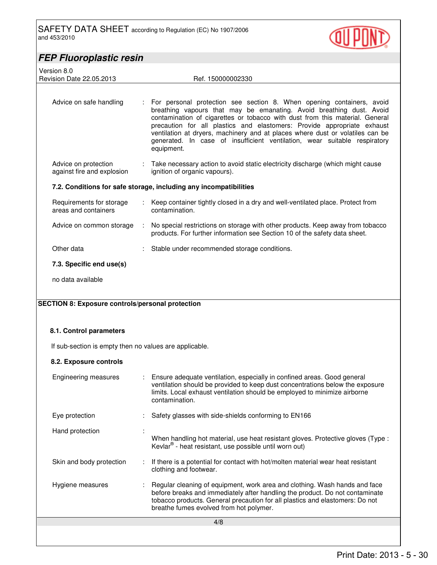

| <b>FEP Fluoroplastic resin</b>                          |   |                                                                                                                                                                                                                                                                                                                                                                                                                                                                                      |
|---------------------------------------------------------|---|--------------------------------------------------------------------------------------------------------------------------------------------------------------------------------------------------------------------------------------------------------------------------------------------------------------------------------------------------------------------------------------------------------------------------------------------------------------------------------------|
| Version 8.0<br>Revision Date 22.05.2013                 |   | Ref. 150000002330                                                                                                                                                                                                                                                                                                                                                                                                                                                                    |
|                                                         |   |                                                                                                                                                                                                                                                                                                                                                                                                                                                                                      |
| Advice on safe handling                                 | ÷ | For personal protection see section 8. When opening containers, avoid<br>breathing vapours that may be emanating. Avoid breathing dust. Avoid<br>contamination of cigarettes or tobacco with dust from this material. General<br>precaution for all plastics and elastomers: Provide appropriate exhaust<br>ventilation at dryers, machinery and at places where dust or volatiles can be<br>generated. In case of insufficient ventilation, wear suitable respiratory<br>equipment. |
| Advice on protection<br>against fire and explosion      |   | Take necessary action to avoid static electricity discharge (which might cause<br>ignition of organic vapours).                                                                                                                                                                                                                                                                                                                                                                      |
|                                                         |   | 7.2. Conditions for safe storage, including any incompatibilities                                                                                                                                                                                                                                                                                                                                                                                                                    |
| Requirements for storage<br>areas and containers        |   | : Keep container tightly closed in a dry and well-ventilated place. Protect from<br>contamination.                                                                                                                                                                                                                                                                                                                                                                                   |
| Advice on common storage                                | ÷ | No special restrictions on storage with other products. Keep away from tobacco<br>products. For further information see Section 10 of the safety data sheet.                                                                                                                                                                                                                                                                                                                         |
| Other data                                              |   | Stable under recommended storage conditions.                                                                                                                                                                                                                                                                                                                                                                                                                                         |
| 7.3. Specific end use(s)                                |   |                                                                                                                                                                                                                                                                                                                                                                                                                                                                                      |
| no data available                                       |   |                                                                                                                                                                                                                                                                                                                                                                                                                                                                                      |
| <b>SECTION 8: Exposure controls/personal protection</b> |   |                                                                                                                                                                                                                                                                                                                                                                                                                                                                                      |
|                                                         |   |                                                                                                                                                                                                                                                                                                                                                                                                                                                                                      |
| 8.1. Control parameters                                 |   |                                                                                                                                                                                                                                                                                                                                                                                                                                                                                      |

If sub-section is empty then no values are applicable.

# **8.2. Exposure controls**

| Engineering measures     | : Ensure adequate ventilation, especially in confined areas. Good general<br>ventilation should be provided to keep dust concentrations below the exposure<br>limits. Local exhaust ventilation should be employed to minimize airborne<br>contamination.                             |
|--------------------------|---------------------------------------------------------------------------------------------------------------------------------------------------------------------------------------------------------------------------------------------------------------------------------------|
| Eye protection           | Safety glasses with side-shields conforming to EN166                                                                                                                                                                                                                                  |
| Hand protection          | When handling hot material, use heat resistant gloves. Protective gloves (Type :<br>Kevlar <sup>®</sup> - heat resistant, use possible until worn out)                                                                                                                                |
| Skin and body protection | $\therefore$ If there is a potential for contact with hot/molten material wear heat resistant<br>clothing and footwear.                                                                                                                                                               |
| Hygiene measures         | Regular cleaning of equipment, work area and clothing. Wash hands and face<br>before breaks and immediately after handling the product. Do not contaminate<br>tobacco products. General precaution for all plastics and elastomers: Do not<br>breathe fumes evolved from hot polymer. |
|                          | 4/8                                                                                                                                                                                                                                                                                   |
|                          |                                                                                                                                                                                                                                                                                       |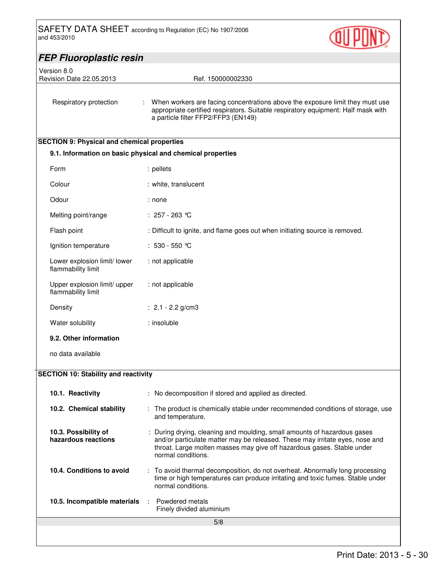

| <b>FEP Fluoroplastic resin</b>                     |                                                                                                                                                                                                                                                          |  |  |  |
|----------------------------------------------------|----------------------------------------------------------------------------------------------------------------------------------------------------------------------------------------------------------------------------------------------------------|--|--|--|
| Version 8.0                                        |                                                                                                                                                                                                                                                          |  |  |  |
| Revision Date 22.05.2013                           | Ref. 150000002330                                                                                                                                                                                                                                        |  |  |  |
| Respiratory protection                             | When workers are facing concentrations above the exposure limit they must use<br>appropriate certified respirators. Suitable respiratory equipment: Half mask with<br>a particle filter FFP2/FFP3 (EN149)                                                |  |  |  |
| <b>SECTION 9: Physical and chemical properties</b> |                                                                                                                                                                                                                                                          |  |  |  |
|                                                    | 9.1. Information on basic physical and chemical properties                                                                                                                                                                                               |  |  |  |
| Form                                               | : pellets                                                                                                                                                                                                                                                |  |  |  |
| Colour                                             | : white, translucent                                                                                                                                                                                                                                     |  |  |  |
| Odour                                              | : none                                                                                                                                                                                                                                                   |  |  |  |
| Melting point/range                                | : 257 - 263 ℃                                                                                                                                                                                                                                            |  |  |  |
| Flash point                                        | : Difficult to ignite, and flame goes out when initiating source is removed.                                                                                                                                                                             |  |  |  |
| Ignition temperature                               | : $530 - 550$ °C                                                                                                                                                                                                                                         |  |  |  |
| Lower explosion limit/ lower<br>flammability limit | : not applicable                                                                                                                                                                                                                                         |  |  |  |
| Upper explosion limit/ upper<br>flammability limit | : not applicable                                                                                                                                                                                                                                         |  |  |  |
| Density                                            | : $2.1 - 2.2$ g/cm3                                                                                                                                                                                                                                      |  |  |  |
| Water solubility                                   | : insoluble                                                                                                                                                                                                                                              |  |  |  |
| 9.2. Other information                             |                                                                                                                                                                                                                                                          |  |  |  |
| no data available                                  |                                                                                                                                                                                                                                                          |  |  |  |
| <b>SECTION 10: Stability and reactivity</b>        |                                                                                                                                                                                                                                                          |  |  |  |
|                                                    |                                                                                                                                                                                                                                                          |  |  |  |
| 10.1. Reactivity                                   | : No decomposition if stored and applied as directed.                                                                                                                                                                                                    |  |  |  |
| 10.2. Chemical stability                           | : The product is chemically stable under recommended conditions of storage, use<br>and temperature.                                                                                                                                                      |  |  |  |
| 10.3. Possibility of<br>hazardous reactions        | : During drying, cleaning and moulding, small amounts of hazardous gases<br>and/or particulate matter may be released. These may irritate eyes, nose and<br>throat. Large molten masses may give off hazardous gases. Stable under<br>normal conditions. |  |  |  |
| 10.4. Conditions to avoid                          | : To avoid thermal decomposition, do not overheat. Abnormally long processing<br>time or high temperatures can produce irritating and toxic fumes. Stable under<br>normal conditions.                                                                    |  |  |  |
| 10.5. Incompatible materials                       | Powdered metals<br>÷.<br>Finely divided aluminium                                                                                                                                                                                                        |  |  |  |
|                                                    | 5/8                                                                                                                                                                                                                                                      |  |  |  |
|                                                    |                                                                                                                                                                                                                                                          |  |  |  |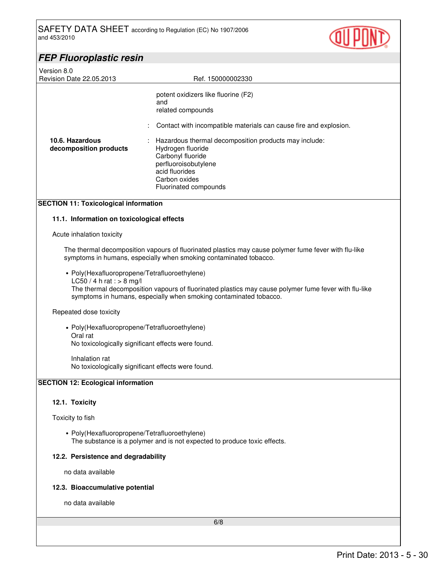

| <b>FEP Fluoroplastic resin</b>                                                             |                                                                                                                                                                                                                                                                                                                             |  |
|--------------------------------------------------------------------------------------------|-----------------------------------------------------------------------------------------------------------------------------------------------------------------------------------------------------------------------------------------------------------------------------------------------------------------------------|--|
| Version 8.0<br>Revision Date 22.05.2013                                                    | Ref. 150000002330                                                                                                                                                                                                                                                                                                           |  |
| 10.6. Hazardous<br>decomposition products                                                  | potent oxidizers like fluorine (F2)<br>and<br>related compounds<br>Contact with incompatible materials can cause fire and explosion.<br>Hazardous thermal decomposition products may include:<br>Hydrogen fluoride<br>Carbonyl fluoride<br>perfluoroisobutylene<br>acid fluorides<br>Carbon oxides<br>Fluorinated compounds |  |
| <b>SECTION 11: Toxicological information</b><br>11.1. Information on toxicological effects |                                                                                                                                                                                                                                                                                                                             |  |
| Acute inhalation toxicity                                                                  |                                                                                                                                                                                                                                                                                                                             |  |
|                                                                                            | The thermal decomposition vapours of fluorinated plastics may cause polymer fume fever with flu-like<br>symptoms in humans, especially when smoking contaminated tobacco.                                                                                                                                                   |  |
| • Poly(Hexafluoropropene/Tetrafluoroethylene)<br>$LC50 / 4 h$ rat : > 8 mg/l               | The thermal decomposition vapours of fluorinated plastics may cause polymer fume fever with flu-like<br>symptoms in humans, especially when smoking contaminated tobacco.                                                                                                                                                   |  |

# Repeated dose toxicity

• Poly(Hexafluoropropene/Tetrafluoroethylene) Oral rat No toxicologically significant effects were found.

Inhalation rat No toxicologically significant effects were found.

# **SECTION 12: Ecological information**

## **12.1. Toxicity**

Toxicity to fish

• Poly(Hexafluoropropene/Tetrafluoroethylene) The substance is a polymer and is not expected to produce toxic effects.

# **12.2. Persistence and degradability**

no data available

## **12.3. Bioaccumulative potential**

no data available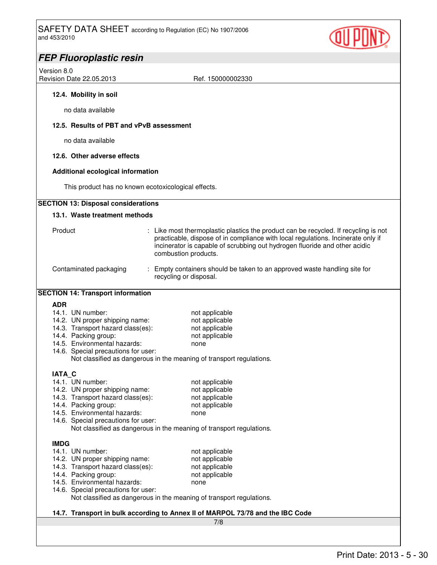

| <b>FEP Fluoroplastic resin</b>                                                                                                                                                                                                                                                           |  |  |
|------------------------------------------------------------------------------------------------------------------------------------------------------------------------------------------------------------------------------------------------------------------------------------------|--|--|
| Version 8.0                                                                                                                                                                                                                                                                              |  |  |
| Revision Date 22.05.2013<br>Ref. 150000002330                                                                                                                                                                                                                                            |  |  |
| 12.4. Mobility in soil                                                                                                                                                                                                                                                                   |  |  |
| no data available                                                                                                                                                                                                                                                                        |  |  |
| 12.5. Results of PBT and vPvB assessment                                                                                                                                                                                                                                                 |  |  |
| no data available                                                                                                                                                                                                                                                                        |  |  |
| 12.6. Other adverse effects                                                                                                                                                                                                                                                              |  |  |
| <b>Additional ecological information</b>                                                                                                                                                                                                                                                 |  |  |
| This product has no known ecotoxicological effects.                                                                                                                                                                                                                                      |  |  |
| <b>SECTION 13: Disposal considerations</b>                                                                                                                                                                                                                                               |  |  |
| 13.1. Waste treatment methods                                                                                                                                                                                                                                                            |  |  |
| Product<br>: Like most thermoplastic plastics the product can be recycled. If recycling is not<br>practicable, dispose of in compliance with local regulations. Incinerate only if<br>incinerator is capable of scrubbing out hydrogen fluoride and other acidic<br>combustion products. |  |  |
| Contaminated packaging<br>: Empty containers should be taken to an approved waste handling site for<br>recycling or disposal.                                                                                                                                                            |  |  |
| <b>SECTION 14: Transport information</b>                                                                                                                                                                                                                                                 |  |  |
| ADR                                                                                                                                                                                                                                                                                      |  |  |
| 14.1. UN number:<br>not applicable                                                                                                                                                                                                                                                       |  |  |
| not applicable<br>14.2. UN proper shipping name:<br>14.3. Transport hazard class(es):<br>not applicable                                                                                                                                                                                  |  |  |
| 14.4. Packing group:<br>not applicable                                                                                                                                                                                                                                                   |  |  |
| 14.5. Environmental hazards:<br>none                                                                                                                                                                                                                                                     |  |  |
| 14.6. Special precautions for user:                                                                                                                                                                                                                                                      |  |  |
| Not classified as dangerous in the meaning of transport regulations.                                                                                                                                                                                                                     |  |  |
| <b>IATA C</b>                                                                                                                                                                                                                                                                            |  |  |
| 14.1. UN number:<br>not applicable                                                                                                                                                                                                                                                       |  |  |
| 14.2. UN proper shipping name:<br>not applicable                                                                                                                                                                                                                                         |  |  |
| 14.3. Transport hazard class(es):<br>not applicable                                                                                                                                                                                                                                      |  |  |
| 14.4. Packing group:<br>not applicable<br>14.5. Environmental hazards:                                                                                                                                                                                                                   |  |  |
| none<br>14.6. Special precautions for user:                                                                                                                                                                                                                                              |  |  |
| Not classified as dangerous in the meaning of transport regulations.                                                                                                                                                                                                                     |  |  |
| <b>IMDG</b>                                                                                                                                                                                                                                                                              |  |  |
| 14.1. UN number:<br>not applicable                                                                                                                                                                                                                                                       |  |  |
| 14.2. UN proper shipping name:<br>not applicable                                                                                                                                                                                                                                         |  |  |
| 14.3. Transport hazard class(es):<br>not applicable                                                                                                                                                                                                                                      |  |  |
| 14.4. Packing group:<br>not applicable                                                                                                                                                                                                                                                   |  |  |
| 14.5. Environmental hazards:<br>none<br>14.6. Special precautions for user:                                                                                                                                                                                                              |  |  |
| Not classified as dangerous in the meaning of transport regulations.                                                                                                                                                                                                                     |  |  |
| 14.7. Transport in bulk according to Annex II of MARPOL 73/78 and the IBC Code                                                                                                                                                                                                           |  |  |
| 7/8                                                                                                                                                                                                                                                                                      |  |  |